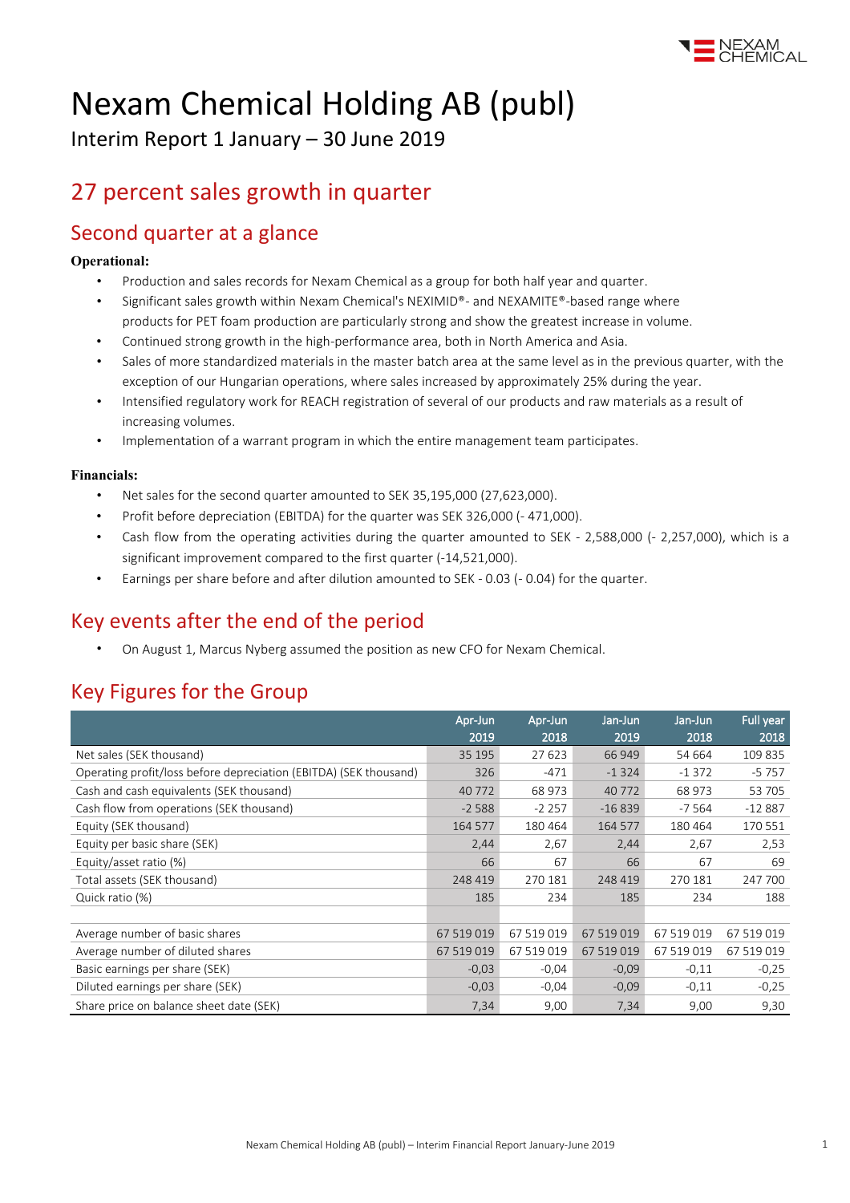

# Nexam Chemical Holding AB (publ)

Interim Report 1 January – 30 June 2019

### 27 percent sales growth in quarter

### Second quarter at a glance

#### **Operational:**

- Production and sales records for Nexam Chemical as a group for both half year and quarter.
- Significant sales growth within Nexam Chemical's NEXIMID®- and NEXAMITE®-based range where products for PET foam production are particularly strong and show the greatest increase in volume.
- Continued strong growth in the high-performance area, both in North America and Asia.
- Sales of more standardized materials in the master batch area at the same level as in the previous quarter, with the exception of our Hungarian operations, where sales increased by approximately 25% during the year.
- Intensified regulatory work for REACH registration of several of our products and raw materials as a result of increasing volumes.
- Implementation of a warrant program in which the entire management team participates.

#### **Financials:**

- Net sales for the second quarter amounted to SEK 35,195,000 (27,623,000).
- Profit before depreciation (EBITDA) for the quarter was SEK 326,000 (- 471,000).
- Cash flow from the operating activities during the quarter amounted to SEK 2,588,000 (- 2,257,000), which is a significant improvement compared to the first quarter (-14,521,000).
- Earnings per share before and after dilution amounted to SEK 0.03 (- 0.04) for the quarter.

### Key events after the end of the period

• On August 1, Marcus Nyberg assumed the position as new CFO for Nexam Chemical.

### Key Figures for the Group

|                                                                   | Apr-Jun<br>2019 | Apr-Jun<br>2018 | Jan-Jun<br>2019 | Jan-Jun<br>2018 | Full year<br>2018 |
|-------------------------------------------------------------------|-----------------|-----------------|-----------------|-----------------|-------------------|
| Net sales (SEK thousand)                                          | 35 195          | 27 623          | 66 949          | 54 664          | 109 835           |
| Operating profit/loss before depreciation (EBITDA) (SEK thousand) | 326             | $-471$          | $-1324$         | $-1372$         | $-5757$           |
| Cash and cash equivalents (SEK thousand)                          | 40 772          | 68 973          | 40772           | 68 973          | 53 705            |
| Cash flow from operations (SEK thousand)                          | $-2588$         | $-2257$         | $-16839$        | $-7564$         | $-12887$          |
| Equity (SEK thousand)                                             | 164 577         | 180 464         | 164 577         | 180 464         | 170 551           |
| Equity per basic share (SEK)                                      | 2,44            | 2,67            | 2,44            | 2,67            | 2,53              |
| Equity/asset ratio (%)                                            | 66              | 67              | 66              | 67              | 69                |
| Total assets (SEK thousand)                                       | 248 419         | 270 181         | 248 419         | 270 181         | 247 700           |
| Quick ratio (%)                                                   | 185             | 234             | 185             | 234             | 188               |
|                                                                   |                 |                 |                 |                 |                   |
| Average number of basic shares                                    | 67 519 019      | 67 519 019      | 67 519 019      | 67 519 019      | 67 519 019        |
| Average number of diluted shares                                  | 67 519 019      | 67 519 019      | 67 519 019      | 67 519 019      | 67 519 019        |
| Basic earnings per share (SEK)                                    | $-0,03$         | $-0,04$         | $-0,09$         | $-0,11$         | $-0,25$           |
| Diluted earnings per share (SEK)                                  | $-0,03$         | $-0,04$         | $-0.09$         | $-0,11$         | $-0,25$           |
| Share price on balance sheet date (SEK)                           | 7,34            | 9,00            | 7,34            | 9,00            | 9,30              |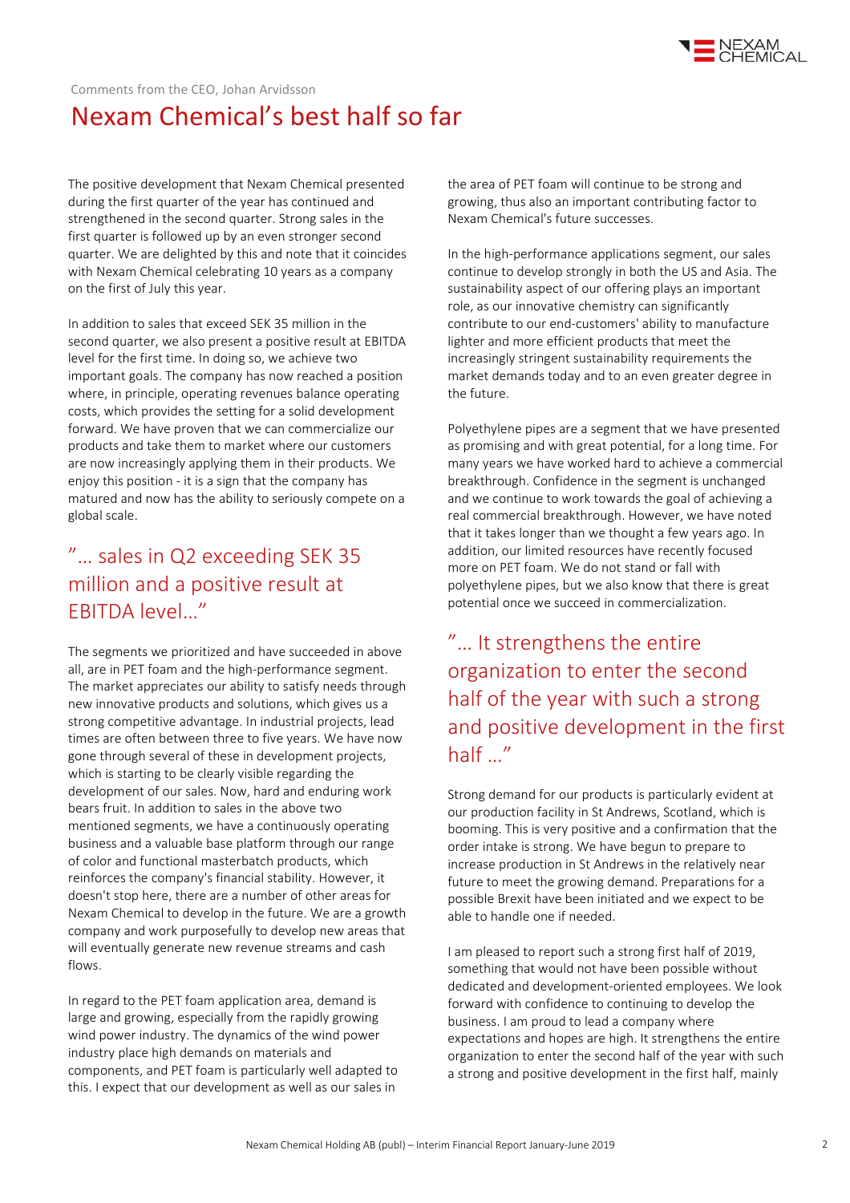

Comments from the CEO, Johan Arvidsson

# Nexam Chemical's best half so far

The positive development that Nexam Chemical presented during the first quarter of the year has continued and strengthened in the second quarter. Strong sales in the first quarter is followed up by an even stronger second quarter. We are delighted by this and note that it coincides with Nexam Chemical celebrating 10 years as a company on the first of July this year.

In addition to sales that exceed SEK 35 million in the second quarter, we also present a positive result at EBITDA level for the first time. In doing so, we achieve two important goals. The company has now reached a position where, in principle, operating revenues balance operating costs, which provides the setting for a solid development forward. We have proven that we can commercialize our products and take them to market where our customers are now increasingly applying them in their products. We enjoy this position - it is a sign that the company has matured and now has the ability to seriously compete on a global scale.

### "… sales in Q2 exceeding SEK 35 million and a positive result at EBITDA level…"

The segments we prioritized and have succeeded in above all, are in PET foam and the high-performance segment. The market appreciates our ability to satisfy needs through new innovative products and solutions, which gives us a strong competitive advantage. In industrial projects, lead times are often between three to five years. We have now gone through several of these in development projects, which is starting to be clearly visible regarding the development of our sales. Now, hard and enduring work bears fruit. In addition to sales in the above two mentioned segments, we have a continuously operating business and a valuable base platform through our range of color and functional masterbatch products, which reinforces the company's financial stability. However, it doesn't stop here, there are a number of other areas for Nexam Chemical to develop in the future. We are a growth company and work purposefully to develop new areas that will eventually generate new revenue streams and cash flows.

In regard to the PET foam application area, demand is large and growing, especially from the rapidly growing wind power industry. The dynamics of the wind power industry place high demands on materials and components, and PET foam is particularly well adapted to this. I expect that our development as well as our sales in

the area of PET foam will continue to be strong and growing, thus also an important contributing factor to Nexam Chemical's future successes.

In the high-performance applications segment, our sales continue to develop strongly in both the US and Asia. The sustainability aspect of our offering plays an important role, as our innovative chemistry can significantly contribute to our end-customers' ability to manufacture lighter and more efficient products that meet the increasingly stringent sustainability requirements the market demands today and to an even greater degree in the future.

Polyethylene pipes are a segment that we have presented as promising and with great potential, for a long time. For many years we have worked hard to achieve a commercial breakthrough. Confidence in the segment is unchanged and we continue to work towards the goal of achieving a real commercial breakthrough. However, we have noted that it takes longer than we thought a few years ago. In addition, our limited resources have recently focused more on PET foam. We do not stand or fall with polyethylene pipes, but we also know that there is great potential once we succeed in commercialization.

"… It strengthens the entire organization to enter the second half of the year with such a strong and positive development in the first half …"

Strong demand for our products is particularly evident at our production facility in St Andrews, Scotland, which is booming. This is very positive and a confirmation that the order intake is strong. We have begun to prepare to increase production in St Andrews in the relatively near future to meet the growing demand. Preparations for a possible Brexit have been initiated and we expect to be able to handle one if needed.

I am pleased to report such a strong first half of 2019, something that would not have been possible without dedicated and development-oriented employees. We look forward with confidence to continuing to develop the business. I am proud to lead a company where expectations and hopes are high. It strengthens the entire organization to enter the second half of the year with such a strong and positive development in the first half, mainly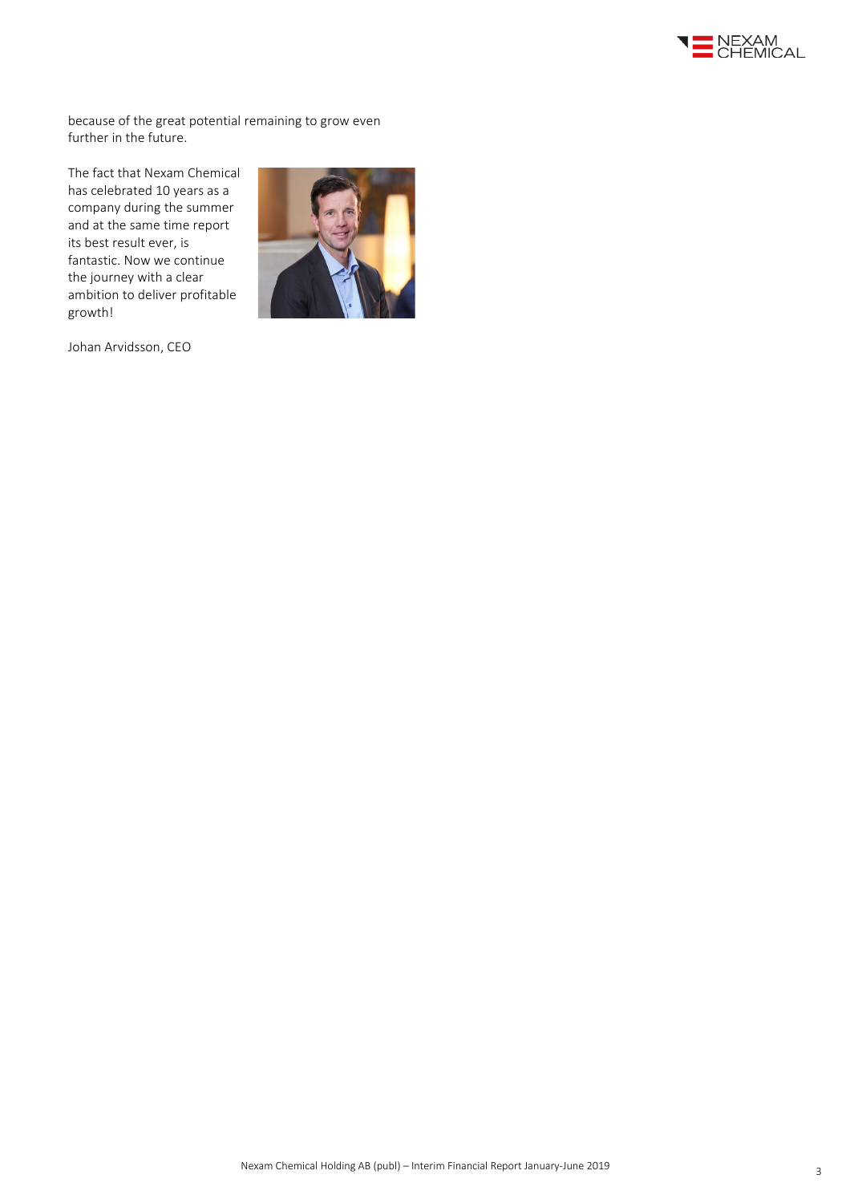

because of the great potential remaining to grow even further in the future.

The fact that Nexam Chemical has celebrated 10 years as a company during the summer and at the same time report its best result ever, is fantastic. Now we continue the journey with a clear ambition to deliver profitable growth!



Johan Arvidsson, CEO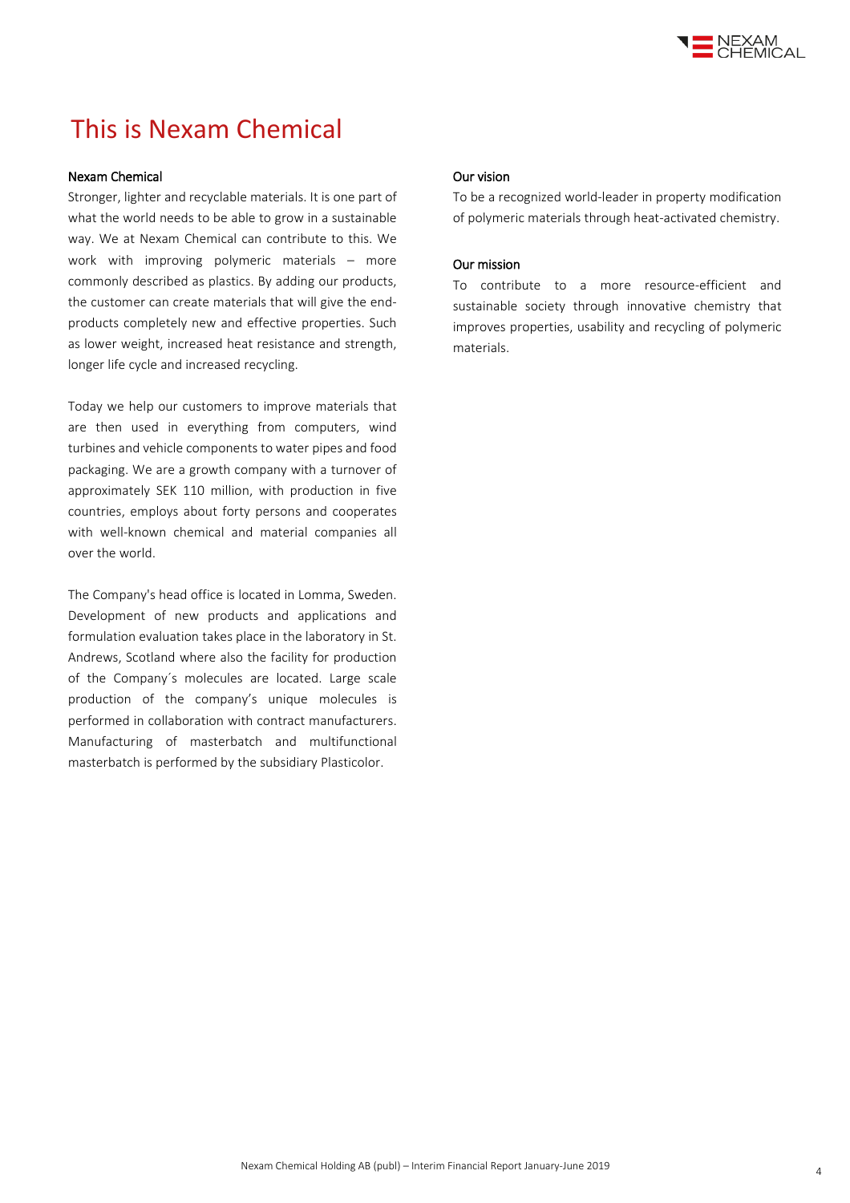

# This is Nexam Chemical

#### Nexam Chemical

Stronger, lighter and recyclable materials. It is one part of what the world needs to be able to grow in a sustainable way. We at Nexam Chemical can contribute to this. We work with improving polymeric materials – more commonly described as plastics. By adding our products, the customer can create materials that will give the endproducts completely new and effective properties. Such as lower weight, increased heat resistance and strength, longer life cycle and increased recycling.

Today we help our customers to improve materials that are then used in everything from computers, wind turbines and vehicle components to water pipes and food packaging. We are a growth company with a turnover of approximately SEK 110 million, with production in five countries, employs about forty persons and cooperates with well-known chemical and material companies all over the world.

The Company's head office is located in Lomma, Sweden. Development of new products and applications and formulation evaluation takes place in the laboratory in St. Andrews, Scotland where also the facility for production of the Company´s molecules are located. Large scale production of the company's unique molecules is performed in collaboration with contract manufacturers. Manufacturing of masterbatch and multifunctional masterbatch is performed by the subsidiary Plasticolor.

#### Our vision

To be a recognized world-leader in property modification of polymeric materials through heat-activated chemistry.

#### Our mission

To contribute to a more resource-efficient and sustainable society through innovative chemistry that improves properties, usability and recycling of polymeric materials.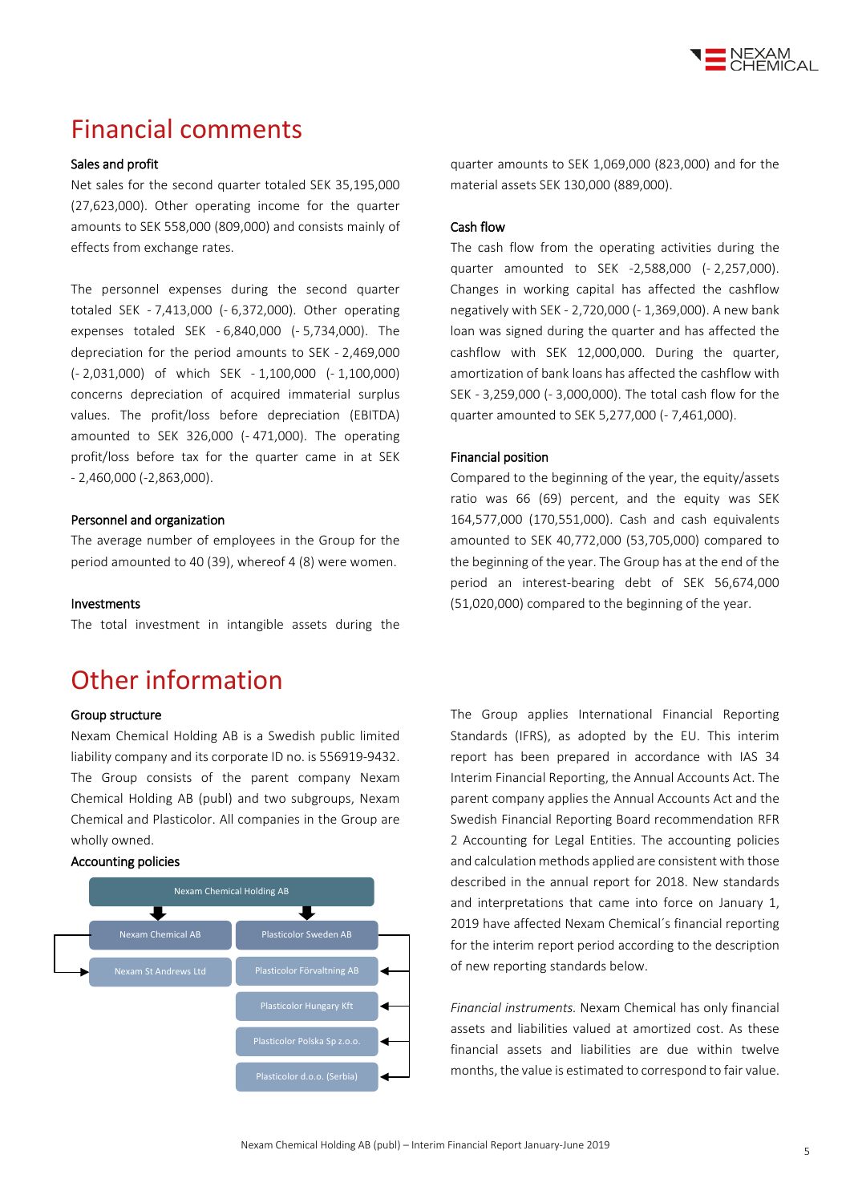

### Financial comments

#### Sales and profit

Net sales for the second quarter totaled SEK 35,195,000 (27,623,000). Other operating income for the quarter amounts to SEK 558,000 (809,000) and consists mainly of effects from exchange rates.

The personnel expenses during the second quarter totaled SEK - 7,413,000 (- 6,372,000). Other operating expenses totaled SEK - 6,840,000 (- 5,734,000). The depreciation for the period amounts to SEK - 2,469,000 (- 2,031,000) of which SEK - 1,100,000 (- 1,100,000) concerns depreciation of acquired immaterial surplus values. The profit/loss before depreciation (EBITDA) amounted to SEK 326,000 (- 471,000). The operating profit/loss before tax for the quarter came in at SEK - 2,460,000 (-2,863,000).

#### Personnel and organization

The average number of employees in the Group for the period amounted to 40 (39), whereof 4 (8) were women.

#### Investments

The total investment in intangible assets during the

### Other information

#### Group structure

Nexam Chemical Holding AB is a Swedish public limited liability company and its corporate ID no. is 556919-9432. The Group consists of the parent company Nexam Chemical Holding AB (publ) and two subgroups, Nexam Chemical and Plasticolor. All companies in the Group are wholly owned.

#### Accounting policies



quarter amounts to SEK 1,069,000 (823,000) and for the material assets SEK 130,000 (889,000).

#### Cash flow

The cash flow from the operating activities during the quarter amounted to SEK -2,588,000 (- 2,257,000). Changes in working capital has affected the cashflow negatively with SEK - 2,720,000 (- 1,369,000). A new bank loan was signed during the quarter and has affected the cashflow with SEK 12,000,000. During the quarter, amortization of bank loans has affected the cashflow with SEK - 3,259,000 (- 3,000,000). The total cash flow for the quarter amounted to SEK 5,277,000 (- 7,461,000).

#### Financial position

Compared to the beginning of the year, the equity/assets ratio was 66 (69) percent, and the equity was SEK 164,577,000 (170,551,000). Cash and cash equivalents amounted to SEK 40,772,000 (53,705,000) compared to the beginning of the year. The Group has at the end of the period an interest-bearing debt of SEK 56,674,000 (51,020,000) compared to the beginning of the year.

The Group applies International Financial Reporting Standards (IFRS), as adopted by the EU. This interim report has been prepared in accordance with IAS 34 Interim Financial Reporting, the Annual Accounts Act. The parent company applies the Annual Accounts Act and the Swedish Financial Reporting Board recommendation RFR 2 Accounting for Legal Entities. The accounting policies and calculation methods applied are consistent with those described in the annual report for 2018. New standards and interpretations that came into force on January 1, 2019 have affected Nexam Chemical´s financial reporting for the interim report period according to the description of new reporting standards below.

*Financial instruments.* Nexam Chemical has only financial assets and liabilities valued at amortized cost. As these financial assets and liabilities are due within twelve months, the value is estimated to correspond to fair value.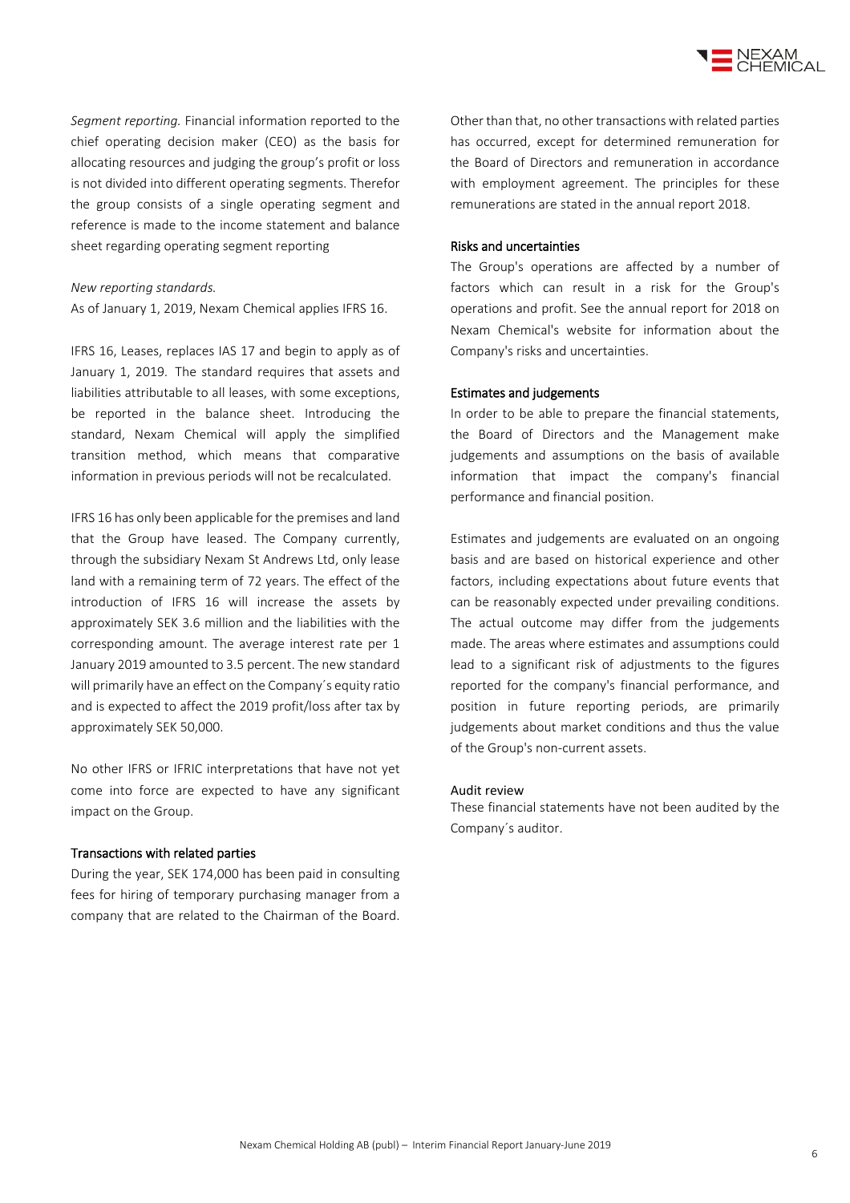

*Segment reporting.* Financial information reported to the chief operating decision maker (CEO) as the basis for allocating resources and judging the group's profit or loss is not divided into different operating segments. Therefor the group consists of a single operating segment and reference is made to the income statement and balance sheet regarding operating segment reporting

#### *New reporting standards.*

As of January 1, 2019, Nexam Chemical applies IFRS 16.

IFRS 16, Leases, replaces IAS 17 and begin to apply as of January 1, 2019. The standard requires that assets and liabilities attributable to all leases, with some exceptions, be reported in the balance sheet. Introducing the standard, Nexam Chemical will apply the simplified transition method, which means that comparative information in previous periods will not be recalculated.

IFRS 16 has only been applicable for the premises and land that the Group have leased. The Company currently, through the subsidiary Nexam St Andrews Ltd, only lease land with a remaining term of 72 years. The effect of the introduction of IFRS 16 will increase the assets by approximately SEK 3.6 million and the liabilities with the corresponding amount. The average interest rate per 1 January 2019 amounted to 3.5 percent. The new standard will primarily have an effect on the Company´s equity ratio and is expected to affect the 2019 profit/loss after tax by approximately SEK 50,000.

No other IFRS or IFRIC interpretations that have not yet come into force are expected to have any significant impact on the Group.

#### Transactions with related parties

During the year, SEK 174,000 has been paid in consulting fees for hiring of temporary purchasing manager from a company that are related to the Chairman of the Board. Other than that, no other transactions with related parties has occurred, except for determined remuneration for the Board of Directors and remuneration in accordance with employment agreement. The principles for these remunerations are stated in the annual report 2018.

#### Risks and uncertainties

The Group's operations are affected by a number of factors which can result in a risk for the Group's operations and profit. See the annual report for 2018 on Nexam Chemical's website for information about the Company's risks and uncertainties.

#### Estimates and judgements

In order to be able to prepare the financial statements, the Board of Directors and the Management make judgements and assumptions on the basis of available information that impact the company's financial performance and financial position.

Estimates and judgements are evaluated on an ongoing basis and are based on historical experience and other factors, including expectations about future events that can be reasonably expected under prevailing conditions. The actual outcome may differ from the judgements made. The areas where estimates and assumptions could lead to a significant risk of adjustments to the figures reported for the company's financial performance, and position in future reporting periods, are primarily judgements about market conditions and thus the value of the Group's non-current assets.

#### Audit review

These financial statements have not been audited by the Company´s auditor.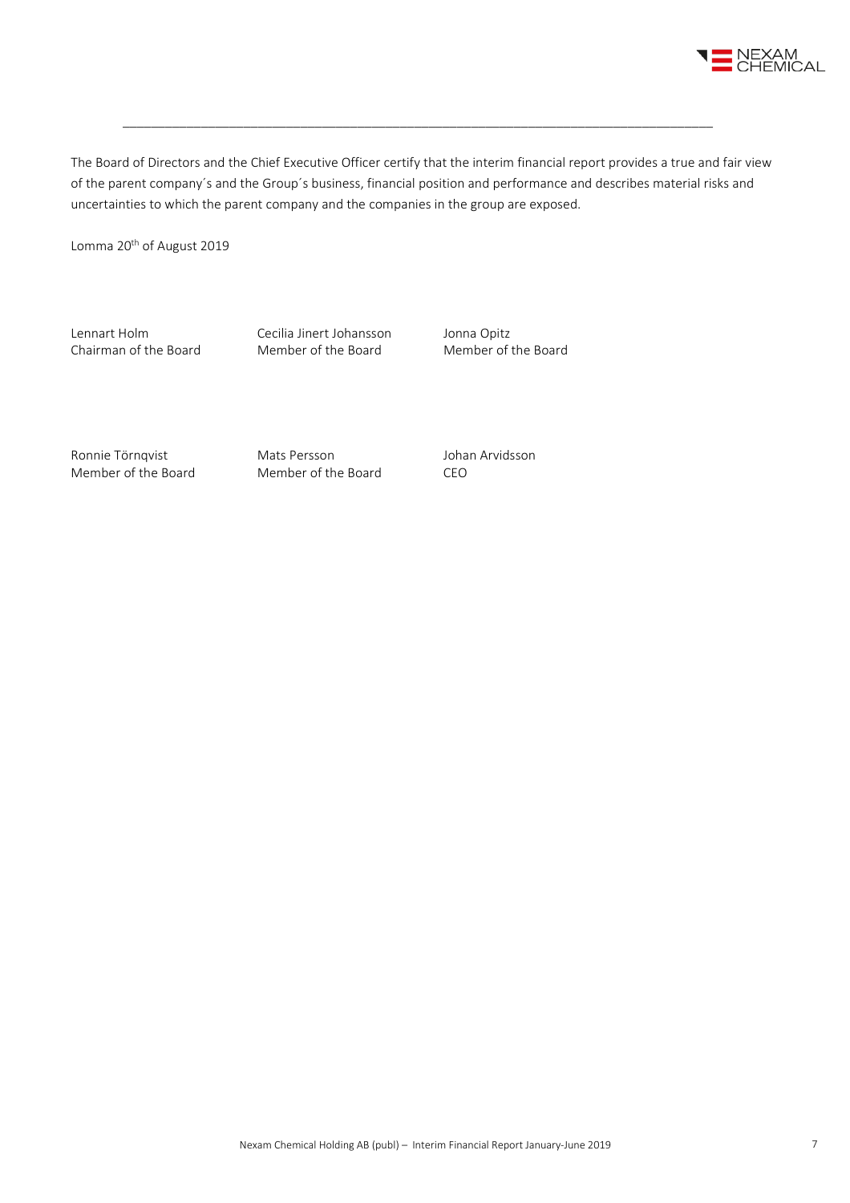

The Board of Directors and the Chief Executive Officer certify that the interim financial report provides a true and fair view of the parent company´s and the Group´s business, financial position and performance and describes material risks and uncertainties to which the parent company and the companies in the group are exposed.

\_\_\_\_\_\_\_\_\_\_\_\_\_\_\_\_\_\_\_\_\_\_\_\_\_\_\_\_\_\_\_\_\_\_\_\_\_\_\_\_\_\_\_\_\_\_\_\_\_\_\_\_\_\_\_\_\_\_\_\_\_\_\_\_\_\_\_\_\_\_\_\_\_\_\_\_\_\_\_\_\_\_\_

Lomma 20<sup>th</sup> of August 2019

Lennart Holm Cecilia Jinert Johansson Jonna Opitz<br>
Chairman of the Board Member of the Board Member of the Board Chairman of the Board

Ronnie Törnqvist Mats Persson and Johan Arvidsson Member of the Board Member of the Board CEO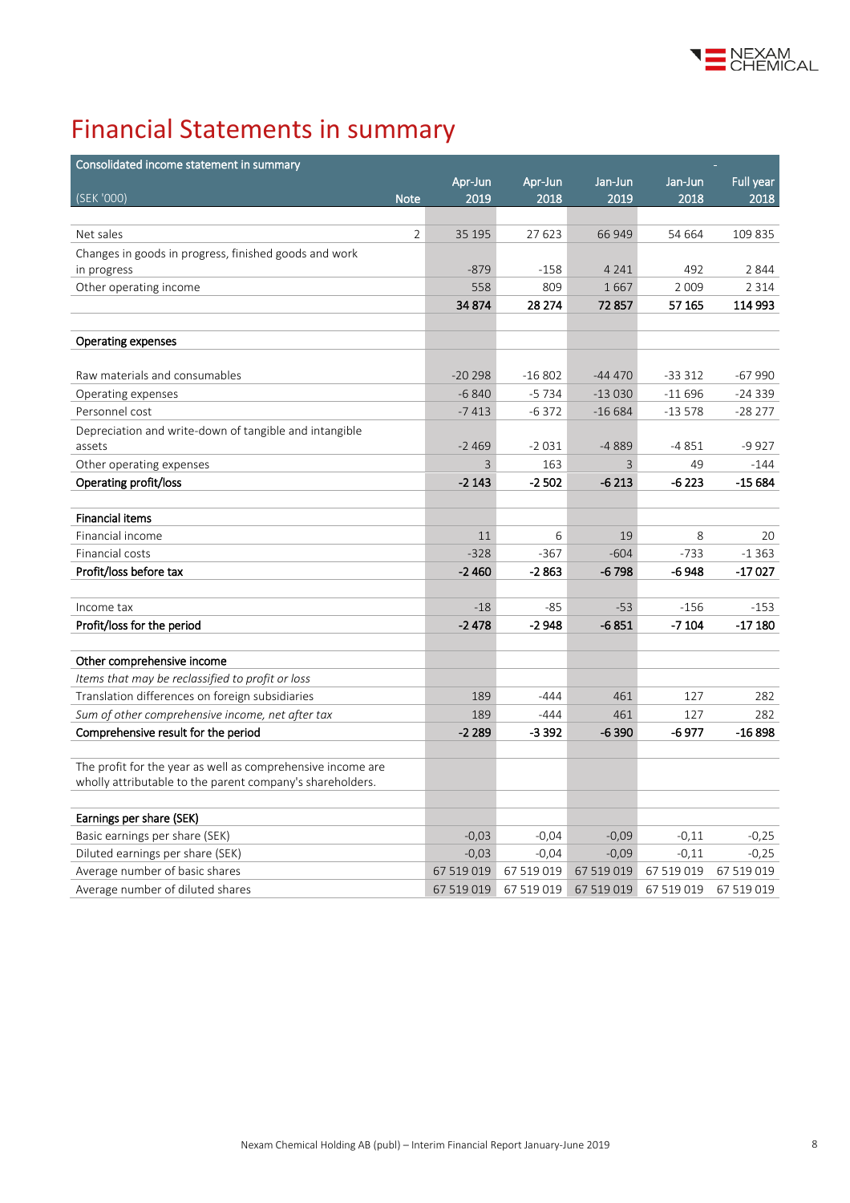

# Financial Statements in summary

| Consolidated income statement in summary                    |            |            |            |            |            |
|-------------------------------------------------------------|------------|------------|------------|------------|------------|
|                                                             | Apr-Jun    | Apr-Jun    | Jan-Jun    | Jan-Jun    | Full year  |
| (SEK '000)<br><b>Note</b>                                   | 2019       | 2018       | 2019       | 2018       | 2018       |
|                                                             |            |            |            |            |            |
| $\overline{2}$<br>Net sales                                 | 35 195     | 27 623     | 66949      | 54 664     | 109 835    |
| Changes in goods in progress, finished goods and work       |            |            |            |            |            |
| in progress                                                 | $-879$     | -158       | 4 2 4 1    | 492        | 2844       |
| Other operating income                                      | 558        | 809        | 1667       | 2 0 0 9    | 2 3 1 4    |
|                                                             | 34 874     | 28 274     | 72857      | 57 165     | 114 993    |
|                                                             |            |            |            |            |            |
| <b>Operating expenses</b>                                   |            |            |            |            |            |
| Raw materials and consumables                               | $-20298$   | $-16802$   | $-44470$   | $-333312$  | $-67990$   |
| Operating expenses                                          | $-6840$    | $-5734$    | $-13030$   | $-11696$   | $-24339$   |
| Personnel cost                                              | $-7413$    | $-6372$    | $-16684$   | $-13578$   | $-28277$   |
| Depreciation and write-down of tangible and intangible      |            |            |            |            |            |
| assets                                                      | $-2469$    | $-2031$    | -4889      | $-4851$    | $-9927$    |
| Other operating expenses                                    | 3          | 163        | 3          | 49         | $-144$     |
| Operating profit/loss                                       | $-2143$    | -2 502     | $-6213$    | -6 223     | -15 684    |
|                                                             |            |            |            |            |            |
| <b>Financial items</b>                                      |            |            |            |            |            |
| Financial income                                            | 11         | 6          | 19         | 8          | 20         |
| Financial costs                                             | $-328$     | $-367$     | $-604$     | $-733$     | $-1363$    |
| Profit/loss before tax                                      | $-2460$    | $-2863$    | $-6798$    | -6 948     | -17027     |
|                                                             |            |            |            |            |            |
| Income tax                                                  | $-18$      | $-85$      | $-53$      | $-156$     | $-153$     |
| Profit/loss for the period                                  | $-2478$    | $-2948$    | $-6851$    | $-7104$    | -17 180    |
| Other comprehensive income                                  |            |            |            |            |            |
| Items that may be reclassified to profit or loss            |            |            |            |            |            |
| Translation differences on foreign subsidiaries             | 189        | $-444$     | 461        | 127        | 282        |
| Sum of other comprehensive income, net after tax            | 189        | $-444$     | 461        | 127        | 282        |
| Comprehensive result for the period                         | $-2289$    | $-3392$    | $-6390$    | -6 977     | $-16898$   |
|                                                             |            |            |            |            |            |
| The profit for the year as well as comprehensive income are |            |            |            |            |            |
| wholly attributable to the parent company's shareholders.   |            |            |            |            |            |
| Earnings per share (SEK)                                    |            |            |            |            |            |
| Basic earnings per share (SEK)                              | $-0,03$    | $-0,04$    | $-0,09$    | $-0,11$    | $-0,25$    |
| Diluted earnings per share (SEK)                            | $-0,03$    | $-0,04$    | $-0,09$    | $-0,11$    | $-0,25$    |
| Average number of basic shares                              | 67 519 019 | 67 519 019 | 67 519 019 | 67 519 019 | 67 519 019 |
| Average number of diluted shares                            | 67 519 019 | 67 519 019 | 67 519 019 | 67 519 019 | 67 519 019 |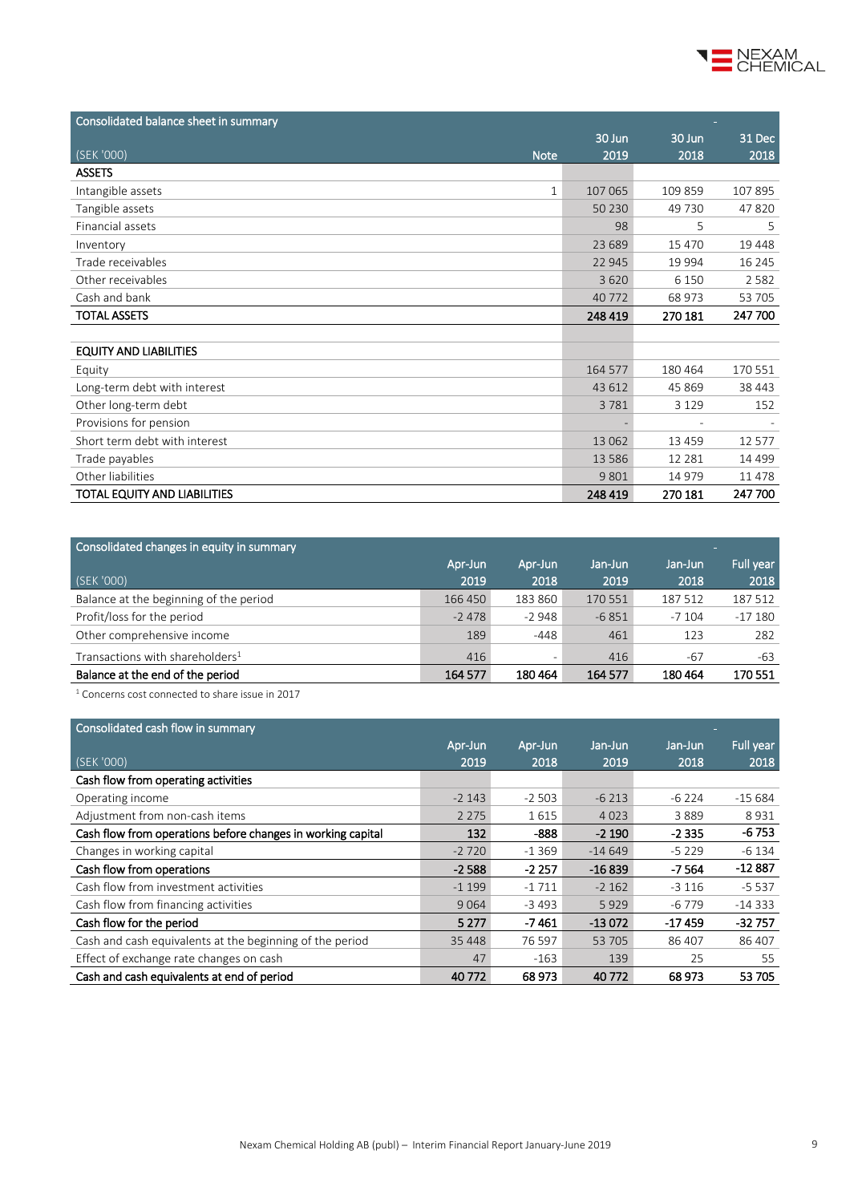

| Consolidated balance sheet in summary |         |          |          |
|---------------------------------------|---------|----------|----------|
|                                       | 30 Jun  | 30 Jun   | 31 Dec   |
| (SEK '000)<br><b>Note</b>             | 2019    | 2018     | 2018     |
| <b>ASSETS</b>                         |         |          |          |
| Intangible assets<br>$\mathbf{1}$     | 107 065 | 109 859  | 107 895  |
| Tangible assets                       | 50 230  | 49 730   | 47820    |
| Financial assets                      | 98      | 5        | 5        |
| Inventory                             | 23 689  | 15 470   | 19 448   |
| Trade receivables                     | 22 945  | 19 9 94  | 16 245   |
| Other receivables                     | 3620    | 6 1 5 0  | 2582     |
| Cash and bank                         | 40 772  | 68 973   | 53 705   |
| <b>TOTAL ASSETS</b>                   | 248 419 | 270 181  | 247 700  |
|                                       |         |          |          |
| <b>EQUITY AND LIABILITIES</b>         |         |          |          |
| Equity                                | 164 577 | 180 464  | 170 551  |
| Long-term debt with interest          | 43 612  | 45 8 69  | 38 443   |
| Other long-term debt                  | 3781    | 3 1 2 9  | 152      |
| Provisions for pension                |         |          |          |
| Short term debt with interest         | 13 0 62 | 13 4 5 9 | 12 577   |
| Trade payables                        | 13586   | 12 2 8 1 | 14 4 9 9 |
| Other liabilities                     | 9801    | 14 9 79  | 11 478   |
| TOTAL EQUITY AND LIABILITIES          | 248 419 | 270 181  | 247 700  |

| Consolidated changes in equity in summary   |         |                          |         |         | <b>COL</b> |
|---------------------------------------------|---------|--------------------------|---------|---------|------------|
|                                             | Apr-Jun | Apr-Jun                  | Jan-Jun | Jan-Jun | Full year  |
| (SEK '000)                                  | 2019    | 2018                     | 2019    | 2018    | 2018       |
| Balance at the beginning of the period      | 166 450 | 183 860                  | 170 551 | 187 512 | 187 512    |
| Profit/loss for the period                  | $-2478$ | $-2948$                  | $-6851$ | $-7104$ | $-17180$   |
| Other comprehensive income                  | 189     | -448                     | 461     | 123     | 282        |
| Transactions with shareholders <sup>1</sup> | 416     | $\overline{\phantom{a}}$ | 416     | $-67$   | -63        |
| Balance at the end of the period            | 164 577 | 180464                   | 164 577 | 180464  | 170 551    |
|                                             |         |                          |         |         |            |

<sup>1</sup> Concerns cost connected to share issue in 2017

#### Consolidated cash flow in summary Apr-Jun Apr-Jun Jan-Jun Jan-Jun Full year (SEK '000) 2019 2018 2019 2018 2018 Cash flow from operating activities Operating income  $\overline{2}$  15 684 -2 143 -2 503 -6 213 -6 224 -15 684 Adjustment from non-cash items 1 615 1 615 1 615 4 023 3 889 8 931 Cash flow from operations before changes in working capital 132 -888 -2 190 -2 335 -6 753 Changes in working capital<br>
Cash flow from operations<br>
Cash flow from operations<br>
Cash flow from operations<br>
Cash flow from operations<br>
Cash flow from operations Cash flow from operations -2 588 -2 257 -16 839 -7 564 Cash flow from investment activities -1 199 -1 199 -1 711 -2 162 -3 116 -5 537 Cash flow from financing activities 9 064 -3 493 5 929 -6 779 -14 333 Cash flow for the period **6 200 -17 461** -13 072 -17 459 -32 757 Cash and cash equivalents at the beginning of the period 35 448 76 597 53 705 86 407 86 407 Effect of exchange rate changes on cash 65 139 25 55 Cash and cash equivalents at end of period 40 772 68 973 40 772 68 973 53 705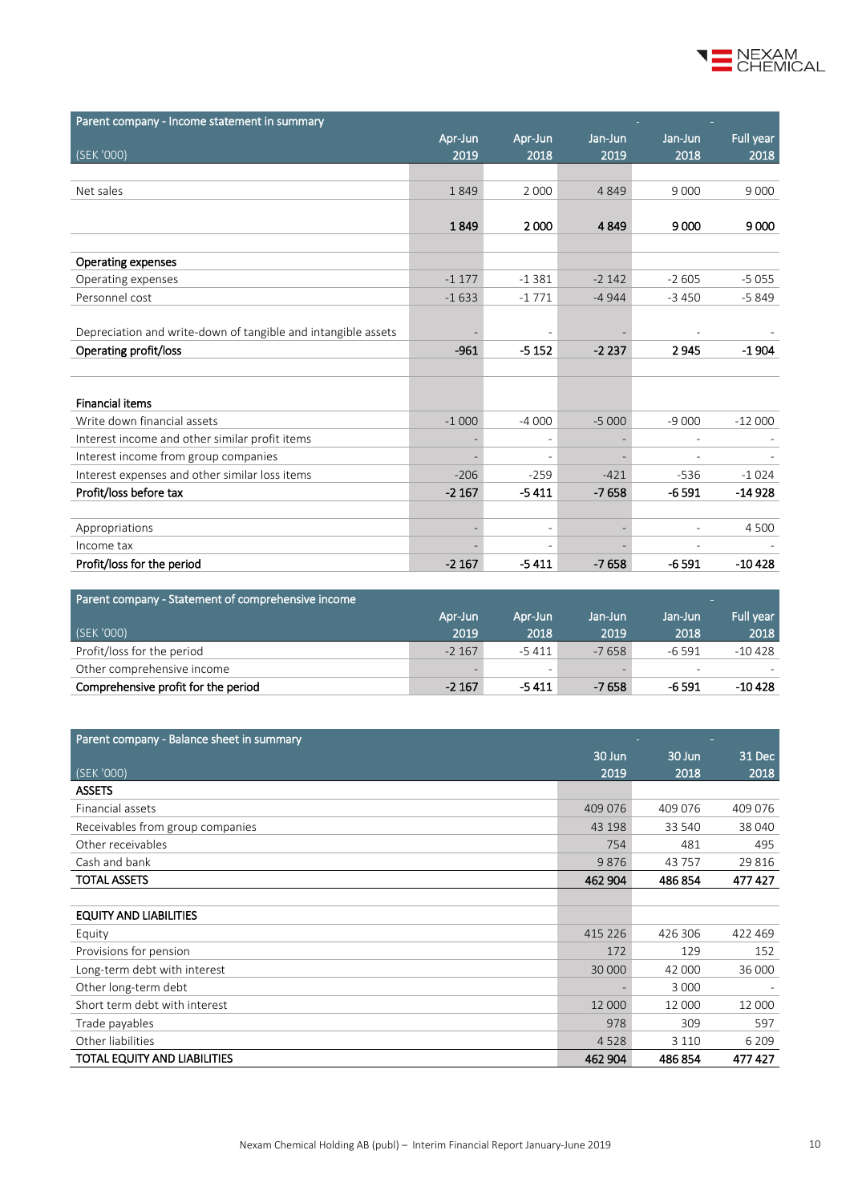

| Parent company - Income statement in summary                  |                          |                          |         |         |           |
|---------------------------------------------------------------|--------------------------|--------------------------|---------|---------|-----------|
|                                                               | Apr-Jun                  | Apr-Jun                  | Jan-Jun | Jan-Jun | Full year |
| (SEK '000)                                                    | 2019                     | 2018                     | 2019    | 2018    | 2018      |
|                                                               |                          |                          |         |         |           |
| Net sales                                                     | 1849                     | 2 0 0 0                  | 4849    | 9 0 0 0 | 9 0 0 0   |
|                                                               |                          |                          |         |         |           |
|                                                               | 1849                     | 2000                     | 4849    | 9000    | 9000      |
|                                                               |                          |                          |         |         |           |
| <b>Operating expenses</b>                                     |                          |                          |         |         |           |
| Operating expenses                                            | $-1177$                  | $-1381$                  | $-2142$ | $-2605$ | $-5055$   |
| Personnel cost                                                | $-1633$                  | $-1771$                  | $-4944$ | $-3450$ | $-5849$   |
|                                                               |                          |                          |         |         |           |
| Depreciation and write-down of tangible and intangible assets |                          |                          |         |         |           |
| Operating profit/loss                                         | $-961$                   | $-5152$                  | $-2237$ | 2945    | $-1904$   |
|                                                               |                          |                          |         |         |           |
|                                                               |                          |                          |         |         |           |
| <b>Financial items</b>                                        |                          |                          |         |         |           |
| Write down financial assets                                   | $-1000$                  | $-4000$                  | $-5000$ | $-9000$ | $-12000$  |
| Interest income and other similar profit items                |                          | $\overline{\phantom{a}}$ |         |         |           |
| Interest income from group companies                          | $\overline{\phantom{a}}$ | $\overline{\phantom{a}}$ |         |         |           |
| Interest expenses and other similar loss items                | $-206$                   | $-259$                   | $-421$  | $-536$  | $-1024$   |
| Profit/loss before tax                                        | $-2167$                  | $-5411$                  | $-7658$ | $-6591$ | $-14928$  |
|                                                               |                          |                          |         |         |           |
| Appropriations                                                |                          |                          |         |         | 4 5 0 0   |
| Income tax                                                    |                          |                          |         |         |           |
| Profit/loss for the period                                    | $-2167$                  | $-5411$                  | $-7658$ | $-6591$ | $-10428$  |

| Parent company - Statement of comprehensive income |          |                 |         |                          | <b>COL</b> |
|----------------------------------------------------|----------|-----------------|---------|--------------------------|------------|
|                                                    | Apr-Jun  | Apr-Jun         | Jan-Jun | Jan-Jun                  | Full year  |
| (SEK '000)                                         | 2019     | 2018            | 2019    | 2018                     | 2018       |
| Profit/loss for the period                         | $-2,167$ | -5 411          | $-7658$ | -6 591                   | -10 428    |
| Other comprehensive income                         |          | $\qquad \qquad$ |         | $\overline{\phantom{a}}$ |            |
| Comprehensive profit for the period                | $-2167$  | -5 411          | -7 658  | -6 591                   | $-10428$   |

| Parent company - Balance sheet in summary |         |         |         |
|-------------------------------------------|---------|---------|---------|
|                                           | 30 Jun  | 30 Jun  | 31 Dec  |
| (SEK '000)                                | 2019    | 2018    | 2018    |
| <b>ASSETS</b>                             |         |         |         |
| Financial assets                          | 409 076 | 409 076 | 409 076 |
| Receivables from group companies          | 43 198  | 33 540  | 38 040  |
| Other receivables                         | 754     | 481     | 495     |
| Cash and bank                             | 9876    | 43757   | 29816   |
| <b>TOTAL ASSETS</b>                       | 462 904 | 486 854 | 477 427 |
|                                           |         |         |         |
| <b>EQUITY AND LIABILITIES</b>             |         |         |         |
| Equity                                    | 415 226 | 426 306 | 422 469 |
| Provisions for pension                    | 172     | 129     | 152     |
| Long-term debt with interest              | 30 000  | 42 000  | 36 000  |
| Other long-term debt                      |         | 3 0 0 0 |         |
| Short term debt with interest             | 12 000  | 12 000  | 12 000  |
| Trade payables                            | 978     | 309     | 597     |
| Other liabilities                         | 4528    | 3 1 1 0 | 6 2 0 9 |
| TOTAL EQUITY AND LIABILITIES              | 462 904 | 486 854 | 477427  |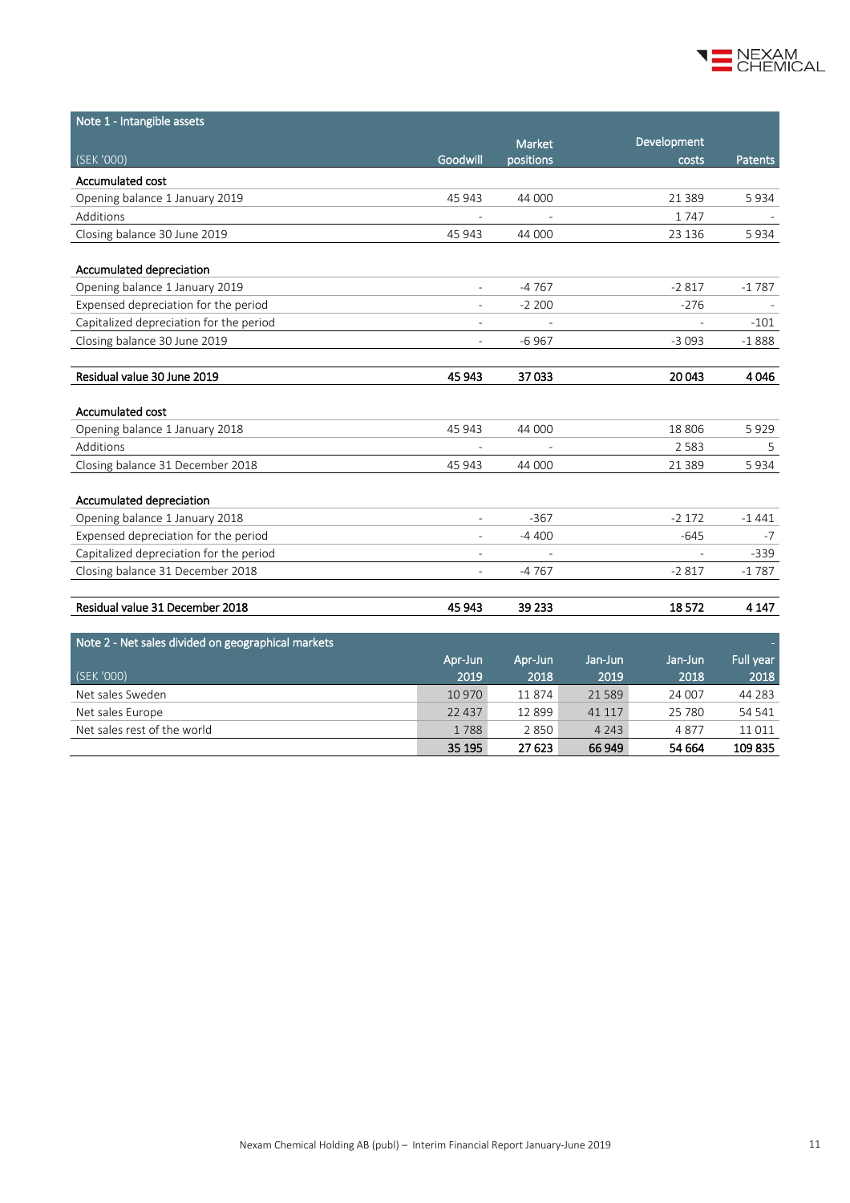

| Note 1 - Intangible assets                         |                          |           |         |             |           |
|----------------------------------------------------|--------------------------|-----------|---------|-------------|-----------|
|                                                    |                          | Market    |         | Development |           |
| $\sqrt{\textsf{SEK}}$ '000)                        | Goodwill                 | positions |         | costs       | Patents   |
| Accumulated cost                                   |                          |           |         |             |           |
| Opening balance 1 January 2019                     | 45 943                   | 44 000    |         | 21 3 8 9    | 5934      |
| Additions                                          |                          |           |         | 1747        |           |
| Closing balance 30 June 2019                       | 45 943                   | 44 000    |         | 23 136      | 5934      |
| Accumulated depreciation                           |                          |           |         |             |           |
| Opening balance 1 January 2019                     |                          | $-4767$   |         | $-2817$     | $-1787$   |
| Expensed depreciation for the period               | $\overline{a}$           | $-2200$   |         | $-276$      |           |
| Capitalized depreciation for the period            | $\overline{\phantom{a}}$ |           |         |             | $-101$    |
| Closing balance 30 June 2019                       | $\overline{\phantom{a}}$ | $-6967$   |         | $-3093$     | $-1888$   |
|                                                    |                          |           |         |             |           |
| Residual value 30 June 2019                        | 45 943                   | 37033     |         | 20 043      | 4046      |
|                                                    |                          |           |         |             |           |
| Accumulated cost                                   |                          |           |         |             |           |
| Opening balance 1 January 2018                     | 45 943                   | 44 000    |         | 18 806      | 5929      |
| Additions                                          |                          |           |         | 2 5 8 3     | 5         |
| Closing balance 31 December 2018                   | 45 943                   | 44 000    |         | 21 3 8 9    | 5934      |
| Accumulated depreciation                           |                          |           |         |             |           |
| Opening balance 1 January 2018                     |                          | $-367$    |         | $-2172$     | $-1441$   |
| Expensed depreciation for the period               |                          | $-4400$   |         | $-645$      | -7        |
| Capitalized depreciation for the period            | $\overline{a}$           |           |         |             | -339      |
| Closing balance 31 December 2018                   |                          | -4767     |         | $-2817$     | $-1787$   |
|                                                    |                          |           |         |             |           |
| Residual value 31 December 2018                    | 45 943                   | 39 233    |         | 18572       | 4 1 4 7   |
| Note 2 - Net sales divided on geographical markets |                          |           |         |             |           |
|                                                    | Apr-Jun                  | Apr-Jun   | Jan-Jun | Jan-Jun     | Full year |
| (SEK '000)                                         | 2019                     | 2018      | 2019    | 2018        | 2018      |
| Net sales Sweden                                   | 10 970                   | 11874     | 21589   | 24 007      | 44 28 3   |
| Net sales Europe                                   | 22 4 3 7                 | 12 8 9 9  | 41 117  | 25 780      | 54 541    |
| Net sales rest of the world                        | 1788                     | 2850      | 4 2 4 3 | 4877        | 11 0 11   |
|                                                    | 35 195                   | 27 623    | 66 949  | 54 664      | 109835    |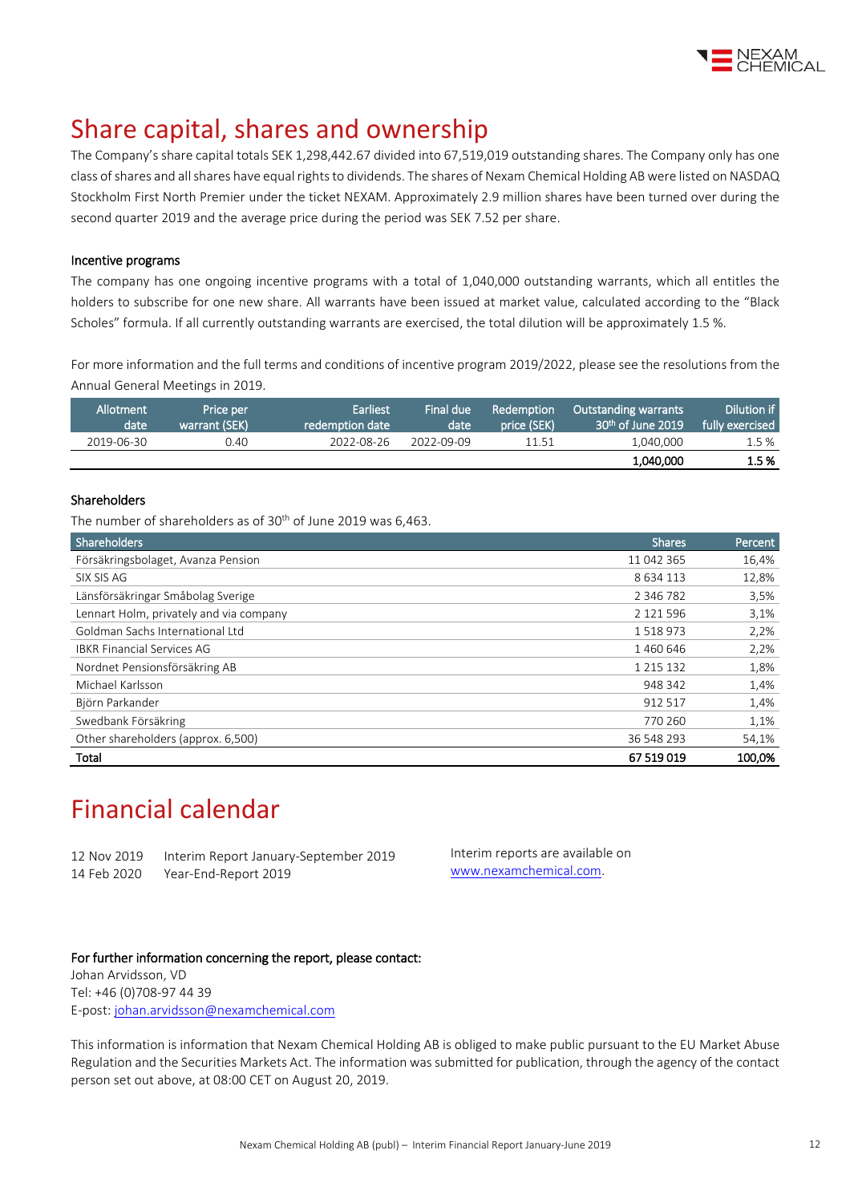

# Share capital, shares and ownership

The Company's share capital totals SEK 1,298,442.67 divided into 67,519,019 outstanding shares. The Company only has one class of shares and all shares have equal rights to dividends. The shares of Nexam Chemical Holding AB were listed on NASDAQ Stockholm First North Premier under the ticket NEXAM. Approximately 2.9 million shares have been turned over during the second quarter 2019 and the average price during the period was SEK 7.52 per share.

#### Incentive programs

The company has one ongoing incentive programs with a total of 1,040,000 outstanding warrants, which all entitles the holders to subscribe for one new share. All warrants have been issued at market value, calculated according to the "Black Scholes" formula. If all currently outstanding warrants are exercised, the total dilution will be approximately 1.5 %.

For more information and the full terms and conditions of incentive program 2019/2022, please see the resolutions from the Annual General Meetings i[n 2019.](http://www.nexamchemical.com/secure/CMS/?language=en#context=epi.cms.contentdata:///245&viewsetting=active:///true)

| Allotment<br>date | ' Price per<br>warrant (SEK) | <b>Earliest</b><br>redemption date | Final due<br>date | Redemption<br>price (SEK) | <b>Outstanding warrants</b><br>$30th$ of June 2019 | Dilution if<br>fully exercised |
|-------------------|------------------------------|------------------------------------|-------------------|---------------------------|----------------------------------------------------|--------------------------------|
| 2019-06-30        | 0.40                         | 2022-08-26                         | 2022-09-09        | 11.51                     | 1.040.000                                          | 1.5%                           |
|                   |                              |                                    |                   |                           | 1,040,000                                          | 1.5 %                          |

#### Shareholders

The number of shareholders as of 30<sup>th</sup> of June 2019 was 6,463.

| Shareholders                            | <b>Shares</b> | Percent |
|-----------------------------------------|---------------|---------|
| Försäkringsbolaget, Avanza Pension      | 11 042 365    | 16,4%   |
| SIX SIS AG                              | 8634113       | 12,8%   |
| Länsförsäkringar Småbolag Sverige       | 2 3 4 6 7 8 2 | 3,5%    |
| Lennart Holm, privately and via company | 2 121 596     | 3,1%    |
| Goldman Sachs International Ltd         | 1518973       | 2,2%    |
| <b>IBKR Financial Services AG</b>       | 1460646       | 2,2%    |
| Nordnet Pensionsförsäkring AB           | 1 2 1 5 1 3 2 | 1,8%    |
| Michael Karlsson                        | 948 342       | 1,4%    |
| Björn Parkander                         | 912 517       | 1,4%    |
| Swedbank Försäkring                     | 770 260       | 1,1%    |
| Other shareholders (approx. 6,500)      | 36 548 293    | 54,1%   |
| Total                                   | 67 519 019    | 100.0%  |

## Financial calendar

12 Nov 2019 Interim Report January-September 2019 14 Feb 2020 Year-End-Report 2019

Interim reports are available on [www.nexamchemical.com.](http://www.nexamchemical.com/)

#### For further information concerning the report, please contact:

Johan Arvidsson, VD Tel: +46 (0)708-97 44 39 E-post: [johan.arvidsson@nexamchemical.com](mailto:johan.arvidsson@nexamchemical.com)

This information is information that Nexam Chemical Holding AB is obliged to make public pursuant to the EU Market Abuse Regulation and the Securities Markets Act. The information was submitted for publication, through the agency of the contact person set out above, at 08:00 CET on August 20, 2019.